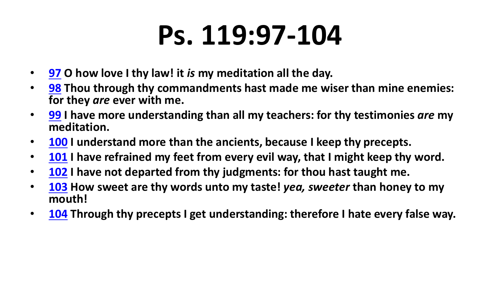#### **Ps. 119:97-104**

- **[97](https://biblehub.com/psalms/119-97.htm) O how love I thy law! it** *is* **my meditation all the day.**
- **[98](https://biblehub.com/psalms/119-98.htm) Thou through thy commandments hast made me wiser than mine enemies: for they** *are* **ever with me.**
- **[99](https://biblehub.com/psalms/119-99.htm) I have more understanding than all my teachers: for thy testimonies** *are* **my meditation.**
- **[100](https://biblehub.com/psalms/119-100.htm) I understand more than the ancients, because I keep thy precepts.**
- **[101](https://biblehub.com/psalms/119-101.htm) I have refrained my feet from every evil way, that I might keep thy word.**
- **[102](https://biblehub.com/psalms/119-102.htm) I have not departed from thy judgments: for thou hast taught me.**
- **[103](https://biblehub.com/psalms/119-103.htm) How sweet are thy words unto my taste!** *yea, sweeter* **than honey to my mouth!**
- **[104](https://biblehub.com/psalms/119-104.htm) Through thy precepts I get understanding: therefore I hate every false way.**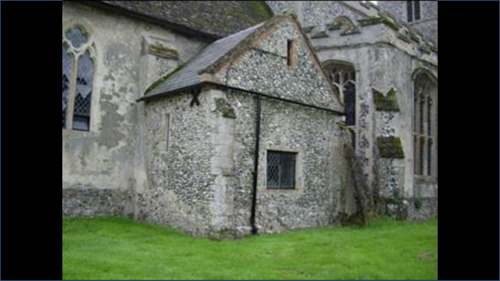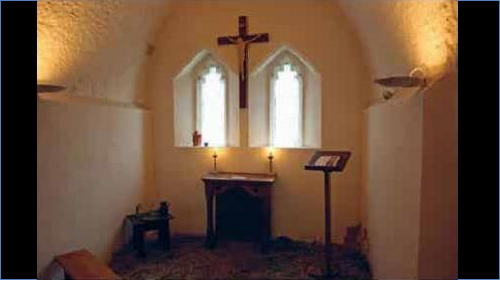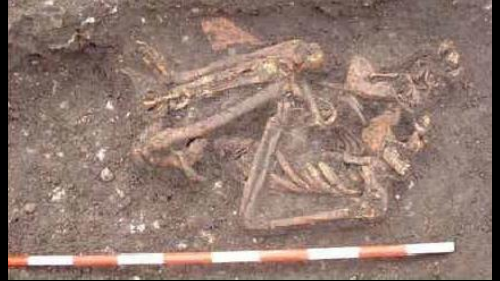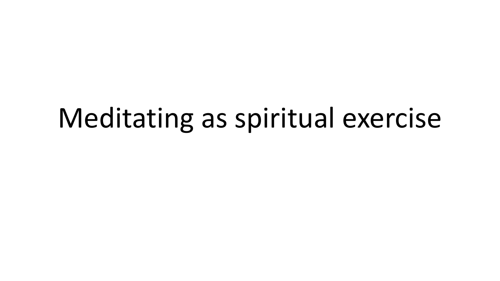#### Meditating as spiritual exercise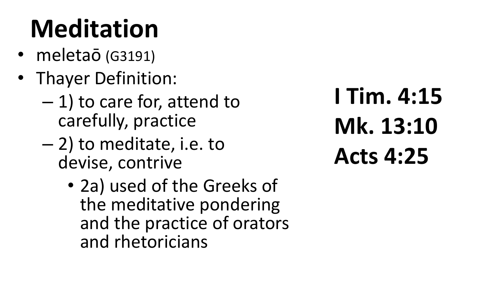## **Meditation**

- meletaō (G3191)
- Thayer Definition:
	- 1) to care for, attend to carefully, practice
	- 2) to meditate, i.e. to devise, contrive
		- 2a) used of the Greeks of the meditative pondering and the practice of orators and rhetoricians

**I Tim. 4:15 Mk. 13:10 Acts 4:25**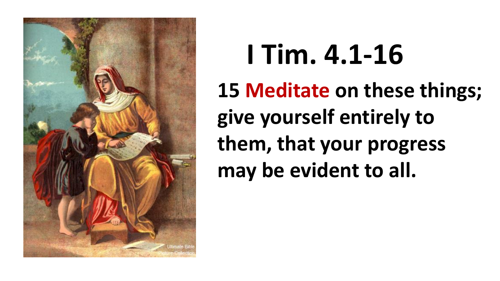

#### **I Tim. 4.1-16**

**15 Meditate on these things; give yourself entirely to them, that your progress may be evident to all.**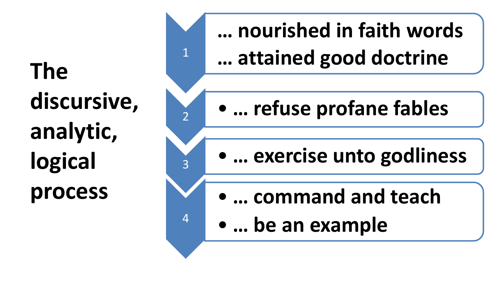**The discursive, analytic, logical process**

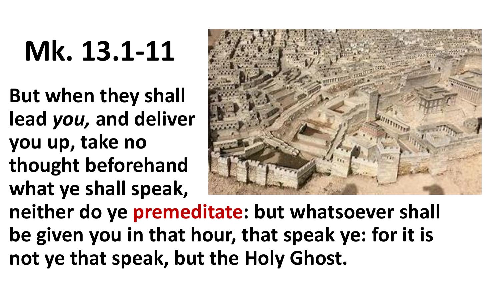# **Mk. 13.1-11**

**But when they shall lead** *you,* **and deliver you up, take no thought beforehand what ye shall speak,** 



**neither do ye premeditate: but whatsoever shall be given you in that hour, that speak ye: for it is not ye that speak, but the Holy Ghost.**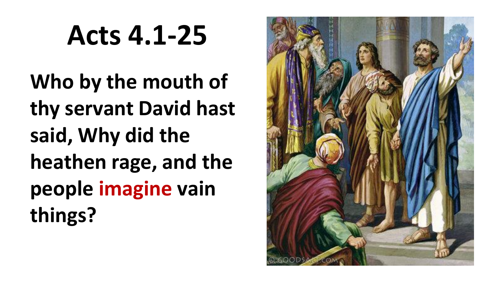### **Acts 4.1-25**

**Who by the mouth of thy servant David hast said, Why did the heathen rage, and the people imagine vain things?**

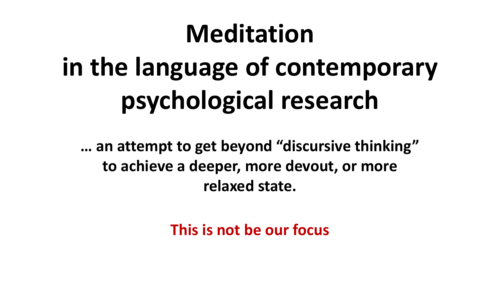#### **Meditation**

# **in the language of contemporary psychological research**

**… an attempt to get beyond "discursive thinking" to achieve a deeper, more devout, or more relaxed state.**

**This is not be our focus**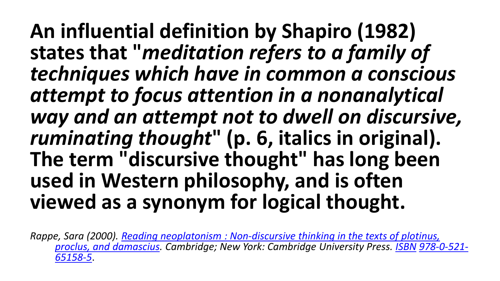**An influential definition by Shapiro (1982) states that "***meditation refers to a family of techniques which have in common a conscious attempt to focus attention in a nonanalytical way and an attempt not to dwell on discursive, ruminating thought***" (p. 6, italics in original). The term "discursive thought" has long been used in Western philosophy, and is often viewed as a synonym for logical thought.**

*Rappe, Sara (2000). Reading neoplatonism : Non-discursive thinking in the texts of plotinus, [proclus, and damascius. Cambridge; New York: Cambridge University Press. ISBN](https://en.wikipedia.org/wiki/Special:BookSources/978-0-521-65158-5) 978-0-521- 65158-5*.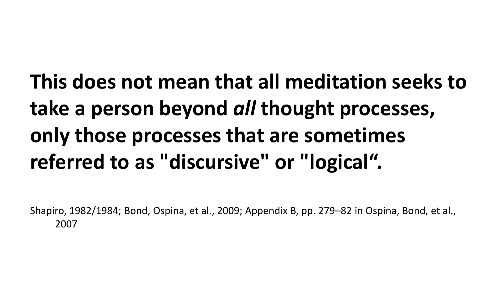**This does not mean that all meditation seeks to take a person beyond** *all* **thought processes, only those processes that are sometimes referred to as "discursive" or "logical".**

Shapiro, 1982/1984; Bond, Ospina, et al., 2009; Appendix B, pp. 279–82 in Ospina, Bond, et al., 2007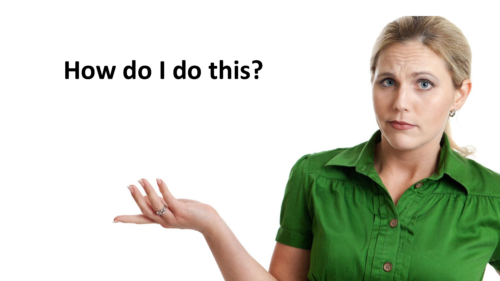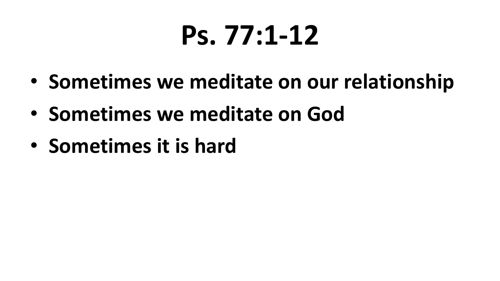#### **Ps. 77:1-12**

- **Sometimes we meditate on our relationship**
- **Sometimes we meditate on God**
- **Sometimes it is hard**